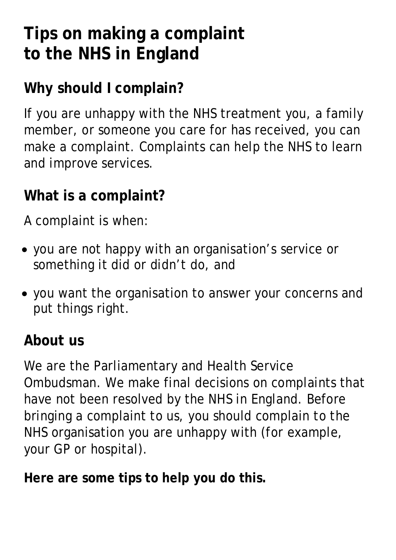# **Tips on making a complaint to the NHS in England**

# **Why should I complain?**

If you are unhappy with the NHS treatment you, a family member, or someone you care for has received, you can make a complaint. Complaints can help the NHS to learn and improve services.

### **What is a complaint?**

A complaint is when:

- you are not happy with an organisation's service or something it did or didn't do, and
- you want the organisation to answer your concerns and put things right.

#### **About us**

We are the Parliamentary and Health Service Ombudsman. We make final decisions on complaints that have not been resolved by the NHS in England. Before bringing a complaint to us, you should complain to the NHS organisation you are unhappy with (for example, your GP or hospital).

**Here are some tips to help you do this.**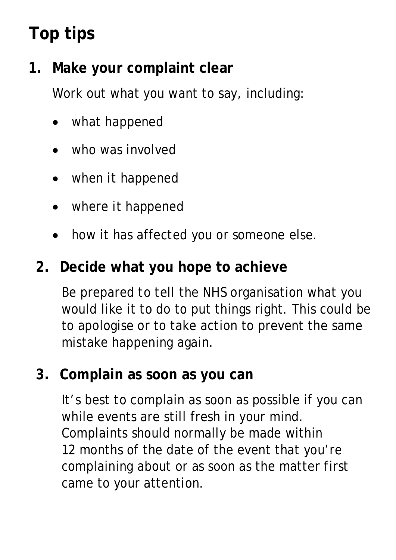# **Top tips**

## **1. Make your complaint clear**

Work out what you want to say, including:

- what happened
- who was involved
- when it happened
- where it happened
- how it has affected you or someone else.

#### **2. Decide what you hope to achieve**

Be prepared to tell the NHS organisation what you would like it to do to put things right. This could be to apologise or to take action to prevent the same mistake happening again.

#### **3. Complain as soon as you can**

It's best to complain as soon as possible if you can while events are still fresh in your mind. Complaints should normally be made within 12 months of the date of the event that you're complaining about or as soon as the matter first came to your attention.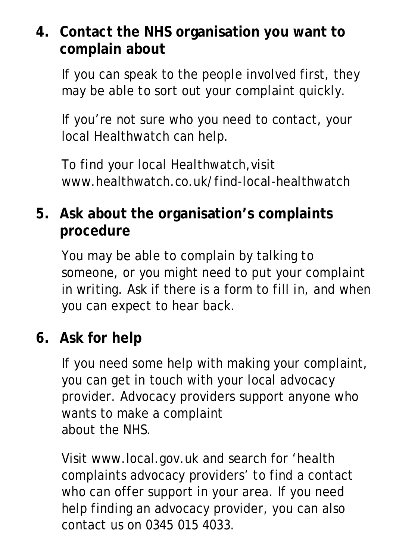### **4. Contact the NHS organisation you want to complain about**

If you can speak to the people involved first, they may be able to sort out your complaint quickly.

If you're not sure who you need to contact, your local Healthwatch can help.

To find your local Healthwatch,visit www.healthwatch.co.uk/find-local-healthwatch

## **5. Ask about the organisation's complaints procedure**

You may be able to complain by talking to someone, or you might need to put your complaint in writing. Ask if there is a form to fill in, and when you can expect to hear back.

#### **6. Ask for help**

If you need some help with making your complaint, you can get in touch with your local advocacy provider. Advocacy providers support anyone who wants to make a complaint about the NHS.

Visit www.local.gov.uk and search for 'health complaints advocacy providers' to find a contact who can offer support in your area. If you need help finding an advocacy provider, you can also contact us on 0345 015 4033.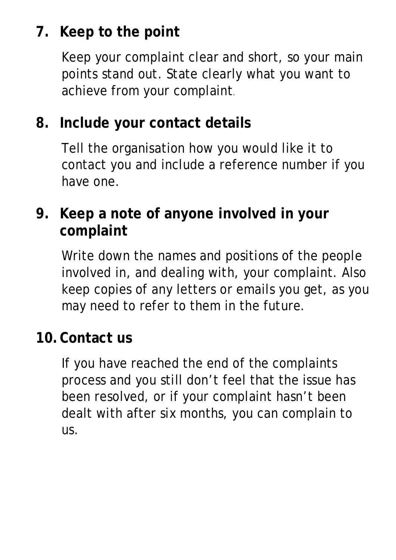# **7. Keep to the point**

Keep your complaint clear and short, so your main points stand out. State clearly what you want to achieve from your complaint.

#### **8. Include your contact details**

Tell the organisation how you would like it to contact you and include a reference number if you have one.

### **9. Keep a note of anyone involved in your complaint**

Write down the names and positions of the people involved in, and dealing with, your complaint. Also keep copies of any letters or emails you get, as you may need to refer to them in the future.

#### **10.Contact us**

If you have reached the end of the complaints process and you still don't feel that the issue has been resolved, or if your complaint hasn't been dealt with after six months, you can complain to us.